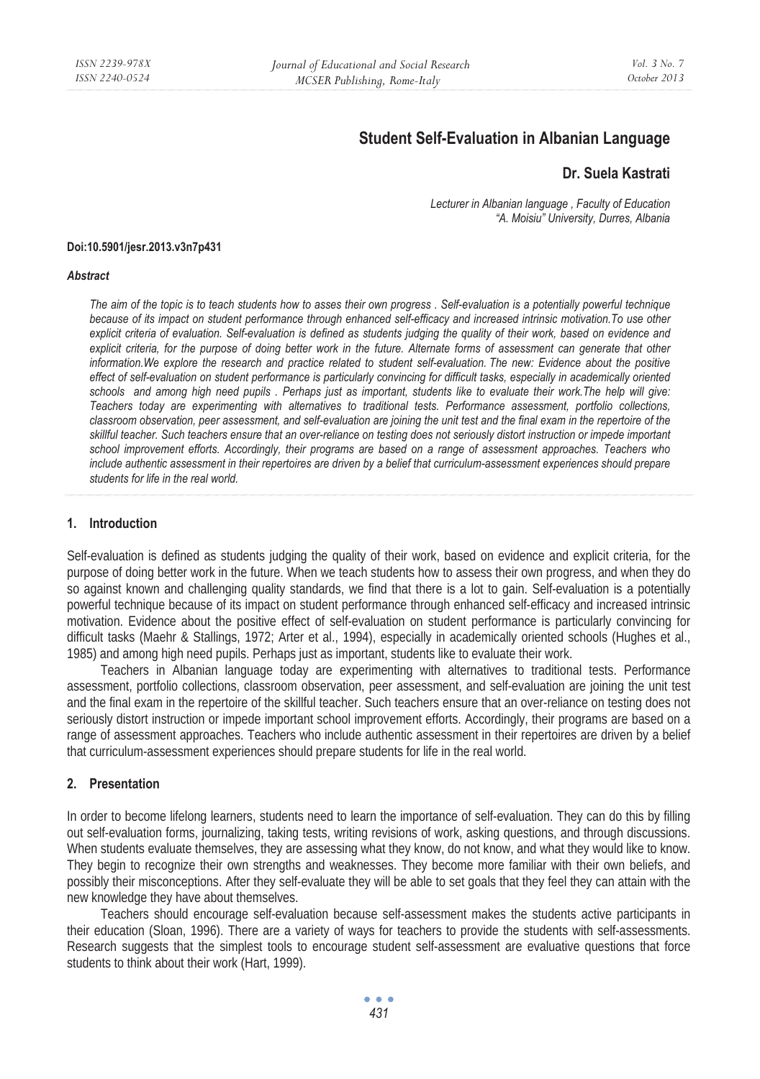# **Student Self-Evaluation in Albanian Language**

## **Dr. Suela Kastrati**

*Lecturer in Albanian language , Faculty of Education "A. Moisiu" University, Durres, Albania* 

#### **Doi:10.5901/jesr.2013.v3n7p431**

#### *Abstract*

*The aim of the topic is to teach students how to asses their own progress . Self-evaluation is a potentially powerful technique because of its impact on student performance through enhanced self-efficacy and increased intrinsic motivation.To use other explicit criteria of evaluation. Self-evaluation is defined as students judging the quality of their work, based on evidence and explicit criteria, for the purpose of doing better work in the future. Alternate forms of assessment can generate that other*  information. We explore the research and practice related to student self-evaluation. The new: Evidence about the positive *effect of self-evaluation on student performance is particularly convincing for difficult tasks, especially in academically oriented schools and among high need pupils . Perhaps just as important, students like to evaluate their work.The help will give: Teachers today are experimenting with alternatives to traditional tests. Performance assessment, portfolio collections, classroom observation, peer assessment, and self-evaluation are joining the unit test and the final exam in the repertoire of the skillful teacher. Such teachers ensure that an over-reliance on testing does not seriously distort instruction or impede important school improvement efforts. Accordingly, their programs are based on a range of assessment approaches. Teachers who include authentic assessment in their repertoires are driven by a belief that curriculum-assessment experiences should prepare students for life in the real world.* 

### **1. Introduction**

Self-evaluation is defined as students judging the quality of their work, based on evidence and explicit criteria, for the purpose of doing better work in the future. When we teach students how to assess their own progress, and when they do so against known and challenging quality standards, we find that there is a lot to gain. Self-evaluation is a potentially powerful technique because of its impact on student performance through enhanced self-efficacy and increased intrinsic motivation. Evidence about the positive effect of self-evaluation on student performance is particularly convincing for difficult tasks (Maehr & Stallings, 1972; Arter et al., 1994), especially in academically oriented schools (Hughes et al., 1985) and among high need pupils. Perhaps just as important, students like to evaluate their work.

Teachers in Albanian language today are experimenting with alternatives to traditional tests. Performance assessment, portfolio collections, classroom observation, peer assessment, and self-evaluation are joining the unit test and the final exam in the repertoire of the skillful teacher. Such teachers ensure that an over-reliance on testing does not seriously distort instruction or impede important school improvement efforts. Accordingly, their programs are based on a range of assessment approaches. Teachers who include authentic assessment in their repertoires are driven by a belief that curriculum-assessment experiences should prepare students for life in the real world.

## **2. Presentation**

In order to become lifelong learners, students need to learn the importance of self-evaluation. They can do this by filling out self-evaluation forms, journalizing, taking tests, writing revisions of work, asking questions, and through discussions. When students evaluate themselves, they are assessing what they know, do not know, and what they would like to know. They begin to recognize their own strengths and weaknesses. They become more familiar with their own beliefs, and possibly their misconceptions. After they self-evaluate they will be able to set goals that they feel they can attain with the new knowledge they have about themselves.

Teachers should encourage self-evaluation because self-assessment makes the students active participants in their education (Sloan, 1996). There are a variety of ways for teachers to provide the students with self-assessments. Research suggests that the simplest tools to encourage student self-assessment are evaluative questions that force students to think about their work (Hart, 1999).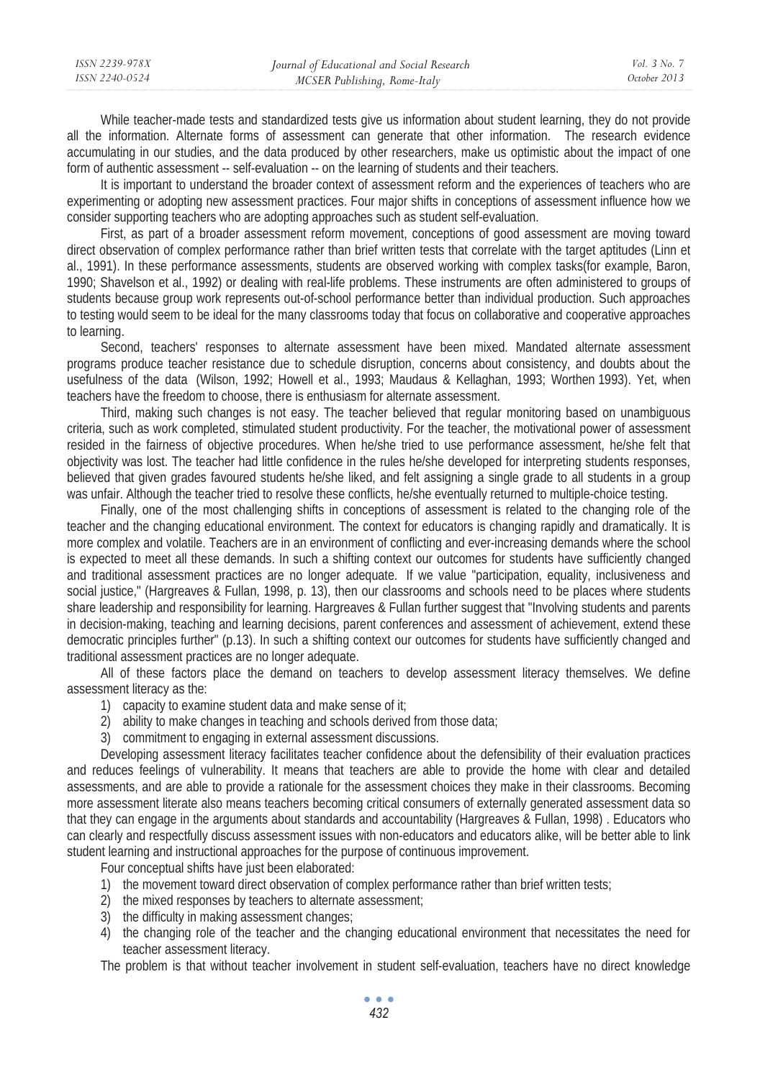| ISSN 2239-978X | Journal of Educational and Social Research | Vol. 3 No. 7 |
|----------------|--------------------------------------------|--------------|
| ISSN 2240-0524 | MCSER Publishing, Rome-Italy               | October 2013 |

While teacher-made tests and standardized tests give us information about student learning, they do not provide all the information. Alternate forms of assessment can generate that other information. The research evidence accumulating in our studies, and the data produced by other researchers, make us optimistic about the impact of one form of authentic assessment -- self-evaluation -- on the learning of students and their teachers.

It is important to understand the broader context of assessment reform and the experiences of teachers who are experimenting or adopting new assessment practices. Four major shifts in conceptions of assessment influence how we consider supporting teachers who are adopting approaches such as student self-evaluation.

First, as part of a broader assessment reform movement, conceptions of good assessment are moving toward direct observation of complex performance rather than brief written tests that correlate with the target aptitudes (Linn et al., 1991). In these performance assessments, students are observed working with complex tasks(for example, Baron, 1990; Shavelson et al., 1992) or dealing with real-life problems. These instruments are often administered to groups of students because group work represents out-of-school performance better than individual production. Such approaches to testing would seem to be ideal for the many classrooms today that focus on collaborative and cooperative approaches to learning.

Second, teachers' responses to alternate assessment have been mixed. Mandated alternate assessment programs produce teacher resistance due to schedule disruption, concerns about consistency, and doubts about the usefulness of the data (Wilson, 1992; Howell et al., 1993; Maudaus & Kellaghan, 1993; Worthen 1993). Yet, when teachers have the freedom to choose, there is enthusiasm for alternate assessment.

Third, making such changes is not easy. The teacher believed that regular monitoring based on unambiguous criteria, such as work completed, stimulated student productivity. For the teacher, the motivational power of assessment resided in the fairness of objective procedures. When he/she tried to use performance assessment, he/she felt that objectivity was lost. The teacher had little confidence in the rules he/she developed for interpreting students responses, believed that given grades favoured students he/she liked, and felt assigning a single grade to all students in a group was unfair. Although the teacher tried to resolve these conflicts, he/she eventually returned to multiple-choice testing.

Finally, one of the most challenging shifts in conceptions of assessment is related to the changing role of the teacher and the changing educational environment. The context for educators is changing rapidly and dramatically. It is more complex and volatile. Teachers are in an environment of conflicting and ever-increasing demands where the school is expected to meet all these demands. In such a shifting context our outcomes for students have sufficiently changed and traditional assessment practices are no longer adequate. If we value "participation, equality, inclusiveness and social justice," (Hargreaves & Fullan, 1998, p. 13), then our classrooms and schools need to be places where students share leadership and responsibility for learning. Hargreaves & Fullan further suggest that "Involving students and parents in decision-making, teaching and learning decisions, parent conferences and assessment of achievement, extend these democratic principles further" (p.13). In such a shifting context our outcomes for students have sufficiently changed and traditional assessment practices are no longer adequate.

All of these factors place the demand on teachers to develop assessment literacy themselves. We define assessment literacy as the:

- 1) capacity to examine student data and make sense of it;
- 2) ability to make changes in teaching and schools derived from those data;
- 3) commitment to engaging in external assessment discussions.

Developing assessment literacy facilitates teacher confidence about the defensibility of their evaluation practices and reduces feelings of vulnerability. It means that teachers are able to provide the home with clear and detailed assessments, and are able to provide a rationale for the assessment choices they make in their classrooms. Becoming more assessment literate also means teachers becoming critical consumers of externally generated assessment data so that they can engage in the arguments about standards and accountability (Hargreaves & Fullan, 1998) . Educators who can clearly and respectfully discuss assessment issues with non-educators and educators alike, will be better able to link student learning and instructional approaches for the purpose of continuous improvement.

Four conceptual shifts have just been elaborated:

- 1) the movement toward direct observation of complex performance rather than brief written tests;
- 2) the mixed responses by teachers to alternate assessment;
- 3) the difficulty in making assessment changes;
- 4) the changing role of the teacher and the changing educational environment that necessitates the need for teacher assessment literacy.

The problem is that without teacher involvement in student self-evaluation, teachers have no direct knowledge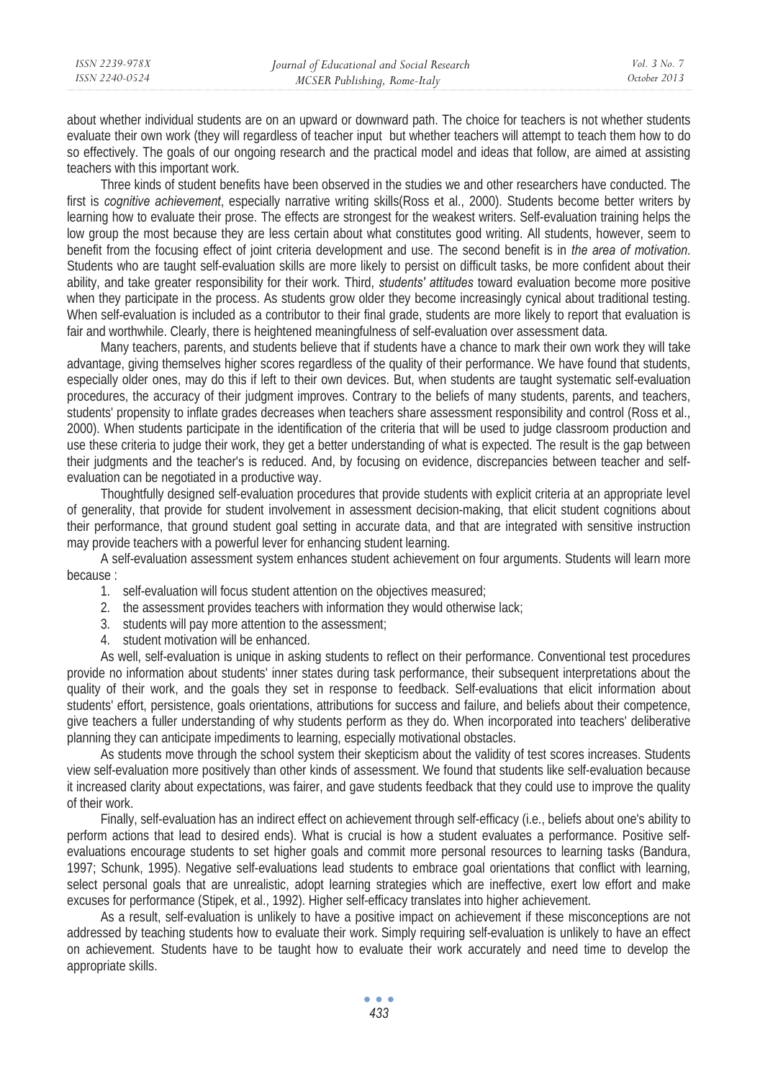| ISSN 2239-978X | Journal of Educational and Social Research | Vol. 3 No. 2 |
|----------------|--------------------------------------------|--------------|
| ISSN 2240-0524 | MCSER Publishing, Rome-Italy               | October 2013 |
|                |                                            |              |

about whether individual students are on an upward or downward path. The choice for teachers is not whether students evaluate their own work (they will regardless of teacher input but whether teachers will attempt to teach them how to do so effectively. The goals of our ongoing research and the practical model and ideas that follow, are aimed at assisting teachers with this important work.

Three kinds of student benefits have been observed in the studies we and other researchers have conducted. The first is *cognitive achievement*, especially narrative writing skills(Ross et al., 2000). Students become better writers by learning how to evaluate their prose. The effects are strongest for the weakest writers. Self-evaluation training helps the low group the most because they are less certain about what constitutes good writing. All students, however, seem to benefit from the focusing effect of joint criteria development and use. The second benefit is in *the area of motivation*. Students who are taught self-evaluation skills are more likely to persist on difficult tasks, be more confident about their ability, and take greater responsibility for their work. Third, *students' attitudes* toward evaluation become more positive when they participate in the process. As students grow older they become increasingly cynical about traditional testing. When self-evaluation is included as a contributor to their final grade, students are more likely to report that evaluation is fair and worthwhile. Clearly, there is heightened meaningfulness of self-evaluation over assessment data.

Many teachers, parents, and students believe that if students have a chance to mark their own work they will take advantage, giving themselves higher scores regardless of the quality of their performance. We have found that students, especially older ones, may do this if left to their own devices. But, when students are taught systematic self-evaluation procedures, the accuracy of their judgment improves. Contrary to the beliefs of many students, parents, and teachers, students' propensity to inflate grades decreases when teachers share assessment responsibility and control (Ross et al., 2000). When students participate in the identification of the criteria that will be used to judge classroom production and use these criteria to judge their work, they get a better understanding of what is expected. The result is the gap between their judgments and the teacher's is reduced. And, by focusing on evidence, discrepancies between teacher and selfevaluation can be negotiated in a productive way.

Thoughtfully designed self-evaluation procedures that provide students with explicit criteria at an appropriate level of generality, that provide for student involvement in assessment decision-making, that elicit student cognitions about their performance, that ground student goal setting in accurate data, and that are integrated with sensitive instruction may provide teachers with a powerful lever for enhancing student learning.

A self-evaluation assessment system enhances student achievement on four arguments. Students will learn more because :

- 1. self-evaluation will focus student attention on the objectives measured;
- 2. the assessment provides teachers with information they would otherwise lack;
- 3. students will pay more attention to the assessment;
- 4. student motivation will be enhanced.

As well, self-evaluation is unique in asking students to reflect on their performance. Conventional test procedures provide no information about students' inner states during task performance, their subsequent interpretations about the quality of their work, and the goals they set in response to feedback. Self-evaluations that elicit information about students' effort, persistence, goals orientations, attributions for success and failure, and beliefs about their competence, give teachers a fuller understanding of why students perform as they do. When incorporated into teachers' deliberative planning they can anticipate impediments to learning, especially motivational obstacles.

As students move through the school system their skepticism about the validity of test scores increases. Students view self-evaluation more positively than other kinds of assessment. We found that students like self-evaluation because it increased clarity about expectations, was fairer, and gave students feedback that they could use to improve the quality of their work.

Finally, self-evaluation has an indirect effect on achievement through self-efficacy (i.e., beliefs about one's ability to perform actions that lead to desired ends). What is crucial is how a student evaluates a performance. Positive selfevaluations encourage students to set higher goals and commit more personal resources to learning tasks (Bandura, 1997; Schunk, 1995). Negative self-evaluations lead students to embrace goal orientations that conflict with learning, select personal goals that are unrealistic, adopt learning strategies which are ineffective, exert low effort and make excuses for performance (Stipek, et al., 1992). Higher self-efficacy translates into higher achievement.

As a result, self-evaluation is unlikely to have a positive impact on achievement if these misconceptions are not addressed by teaching students how to evaluate their work. Simply requiring self-evaluation is unlikely to have an effect on achievement. Students have to be taught how to evaluate their work accurately and need time to develop the appropriate skills.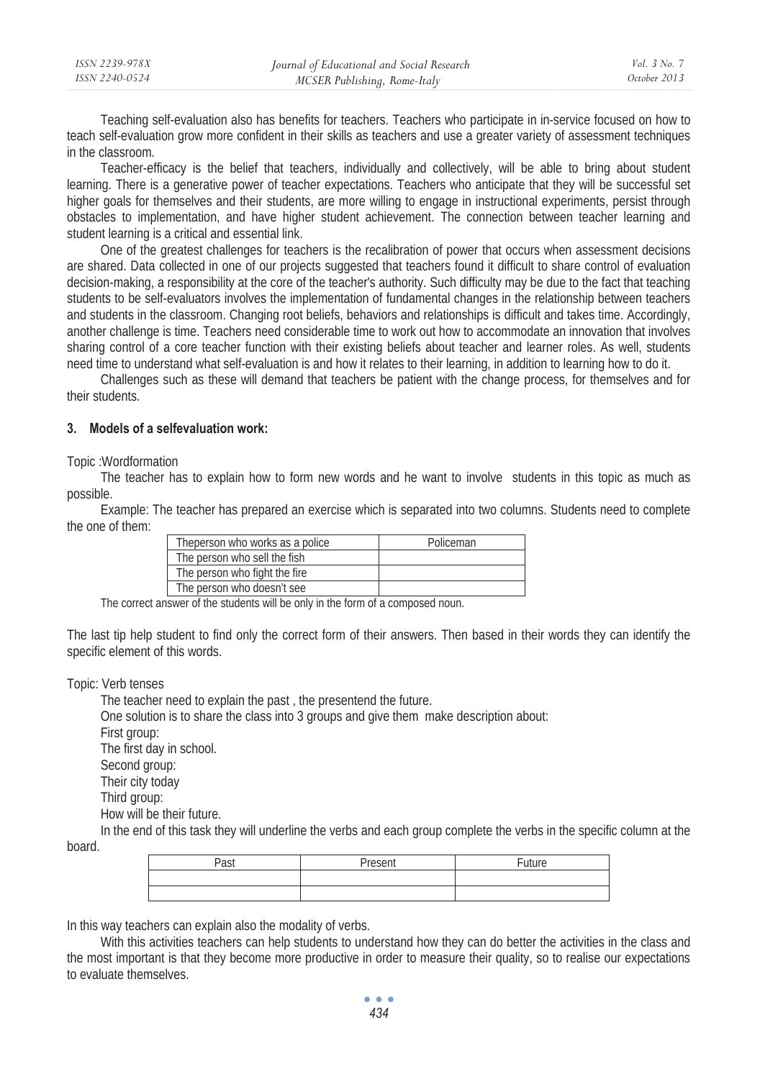| ISSN 2239-978X | Journal of Educational and Social Research | Vol. 3 No. 7 |
|----------------|--------------------------------------------|--------------|
| ISSN 2240-0524 | MCSER Publishing, Rome-Italy               | October 2013 |
|                |                                            |              |

Teaching self-evaluation also has benefits for teachers. Teachers who participate in in-service focused on how to teach self-evaluation grow more confident in their skills as teachers and use a greater variety of assessment techniques in the classroom.

Teacher-efficacy is the belief that teachers, individually and collectively, will be able to bring about student learning. There is a generative power of teacher expectations. Teachers who anticipate that they will be successful set higher goals for themselves and their students, are more willing to engage in instructional experiments, persist through obstacles to implementation, and have higher student achievement. The connection between teacher learning and student learning is a critical and essential link.

One of the greatest challenges for teachers is the recalibration of power that occurs when assessment decisions are shared. Data collected in one of our projects suggested that teachers found it difficult to share control of evaluation decision-making, a responsibility at the core of the teacher's authority. Such difficulty may be due to the fact that teaching students to be self-evaluators involves the implementation of fundamental changes in the relationship between teachers and students in the classroom. Changing root beliefs, behaviors and relationships is difficult and takes time. Accordingly, another challenge is time. Teachers need considerable time to work out how to accommodate an innovation that involves sharing control of a core teacher function with their existing beliefs about teacher and learner roles. As well, students need time to understand what self-evaluation is and how it relates to their learning, in addition to learning how to do it.

Challenges such as these will demand that teachers be patient with the change process, for themselves and for their students.

### **3. Models of a selfevaluation work:**

#### Topic :Wordformation

The teacher has to explain how to form new words and he want to involve students in this topic as much as possible.

Example: The teacher has prepared an exercise which is separated into two columns. Students need to complete the one of them:

| Theperson who works as a police | Policeman |
|---------------------------------|-----------|
| The person who sell the fish    |           |
| The person who fight the fire   |           |
| The person who doesn't see      |           |

The correct answer of the students will be only in the form of a composed noun.

The last tip help student to find only the correct form of their answers. Then based in their words they can identify the specific element of this words.

Topic: Verb tenses

The teacher need to explain the past , the presentend the future. One solution is to share the class into 3 groups and give them make description about: First group: The first day in school. Second group: Their city today Third group: How will be their future. In the end of this task they will underline the verbs and each group complete the verbs in the specific column at the board.

| Past | Droconi | uture |
|------|---------|-------|
|      |         |       |
|      |         |       |

In this way teachers can explain also the modality of verbs.

With this activities teachers can help students to understand how they can do better the activities in the class and the most important is that they become more productive in order to measure their quality, so to realise our expectations to evaluate themselves.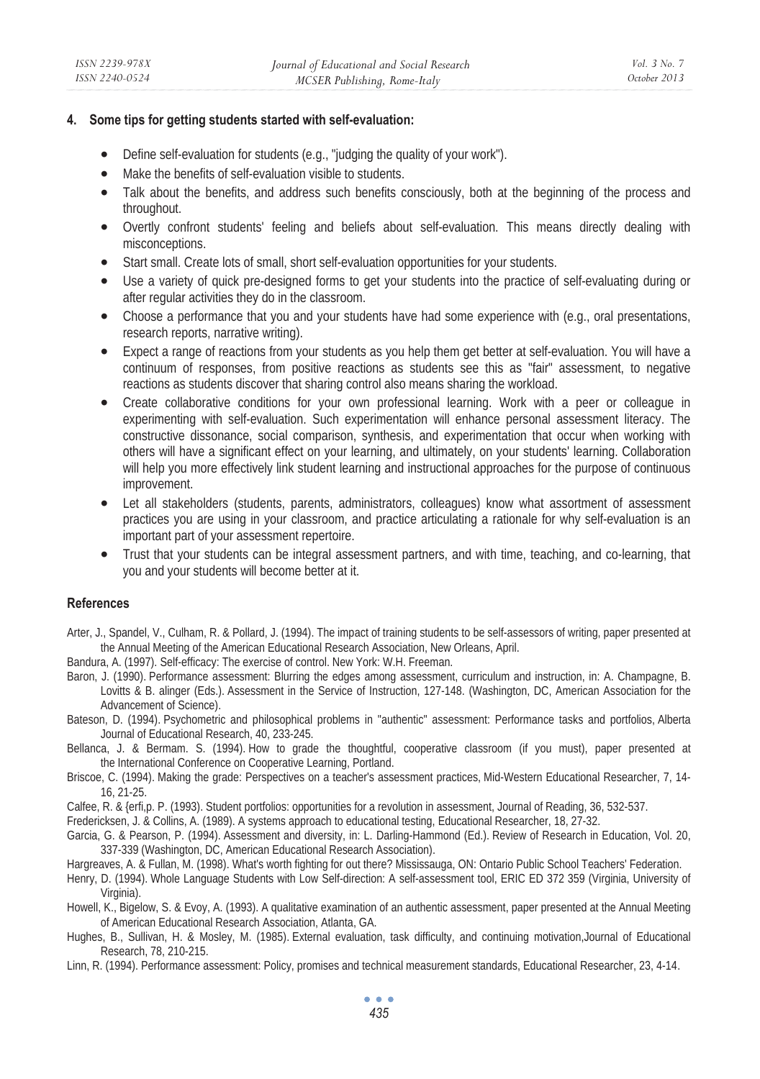### **4. Some tips for getting students started with self-evaluation:**

- Define self-evaluation for students (e.g., "judging the quality of your work").
- Make the benefits of self-evaluation visible to students.
- Talk about the benefits, and address such benefits consciously, both at the beginning of the process and throughout.
- Overtly confront students' feeling and beliefs about self-evaluation. This means directly dealing with misconceptions.
- Start small. Create lots of small, short self-evaluation opportunities for your students.
- Use a variety of quick pre-designed forms to get your students into the practice of self-evaluating during or after regular activities they do in the classroom.
- Choose a performance that you and your students have had some experience with (e.g., oral presentations, research reports, narrative writing).
- Expect a range of reactions from your students as you help them get better at self-evaluation. You will have a continuum of responses, from positive reactions as students see this as "fair" assessment, to negative reactions as students discover that sharing control also means sharing the workload.
- Create collaborative conditions for your own professional learning. Work with a peer or colleague in experimenting with self-evaluation. Such experimentation will enhance personal assessment literacy. The constructive dissonance, social comparison, synthesis, and experimentation that occur when working with others will have a significant effect on your learning, and ultimately, on your students' learning. Collaboration will help you more effectively link student learning and instructional approaches for the purpose of continuous improvement.
- Let all stakeholders (students, parents, administrators, colleagues) know what assortment of assessment practices you are using in your classroom, and practice articulating a rationale for why self-evaluation is an important part of your assessment repertoire.
- Trust that your students can be integral assessment partners, and with time, teaching, and co-learning, that you and your students will become better at it.

## **References**

Arter, J., Spandel, V., Culham, R. & Pollard, J. (1994). The impact of training students to be self-assessors of writing, paper presented at the Annual Meeting of the American Educational Research Association, New Orleans, April.

Bandura, A. (1997). Self-efficacy: The exercise of control. New York: W.H. Freeman.

Baron, J. (1990). Performance assessment: Blurring the edges among assessment, curriculum and instruction, in: A. Champagne, B. Lovitts & B. alinger (Eds.). Assessment in the Service of Instruction, 127-148. (Washington, DC, American Association for the Advancement of Science).

Bateson, D. (1994). Psychometric and philosophical problems in "authentic" assessment: Performance tasks and portfolios, Alberta Journal of Educational Research, 40, 233-245.

- Bellanca, J. & Bermam. S. (1994). How to grade the thoughtful, cooperative classroom (if you must), paper presented at the International Conference on Cooperative Learning, Portland.
- Briscoe, C. (1994). Making the grade: Perspectives on a teacher's assessment practices, Mid-Western Educational Researcher, 7, 14- 16, 21-25.

Calfee, R. & {erfi,p. P. (1993). Student portfolios: opportunities for a revolution in assessment, Journal of Reading, 36, 532-537.

Fredericksen, J. & Collins, A. (1989). A systems approach to educational testing, Educational Researcher, 18, 27-32.

Garcia, G. & Pearson, P. (1994). Assessment and diversity, in: L. Darling-Hammond (Ed.). Review of Research in Education, Vol. 20, 337-339 (Washington, DC, American Educational Research Association).

Hargreaves, A. & Fullan, M. (1998). What's worth fighting for out there? Mississauga, ON: Ontario Public School Teachers' Federation.

- Henry, D. (1994). Whole Language Students with Low Self-direction: A self-assessment tool, ERIC ED 372 359 (Virginia, University of Virginia).
- Howell, K., Bigelow, S. & Evoy, A. (1993). A qualitative examination of an authentic assessment, paper presented at the Annual Meeting of American Educational Research Association, Atlanta, GA.
- Hughes, B., Sullivan, H. & Mosley, M. (1985). External evaluation, task difficulty, and continuing motivation,Journal of Educational Research, 78, 210-215.
- Linn, R. (1994). Performance assessment: Policy, promises and technical measurement standards, Educational Researcher, 23, 4-14.